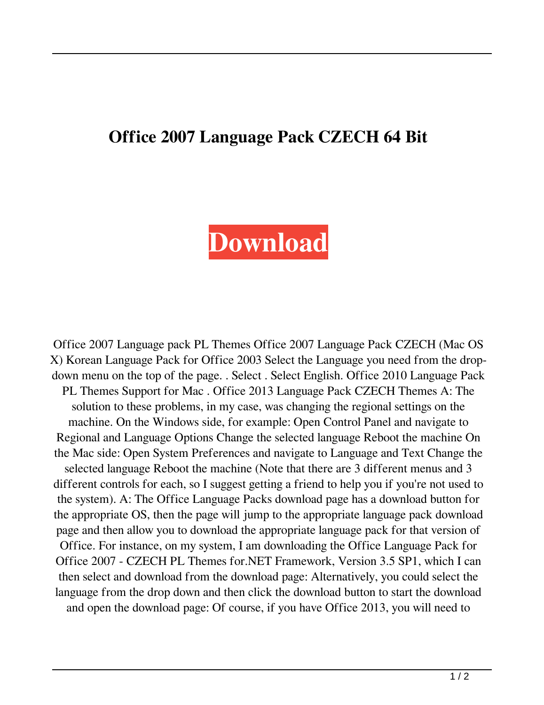## **Office 2007 Language Pack CZECH 64 Bit**

## **[Download](http://evacdir.com/pundit/ZG93bmxvYWR8WVc0TW5CME5ueDhNVFkxTWpjME1EZzJObng4TWpVM05IeDhLRTBwSUhKbFlXUXRZbXh2WnlCYlJtRnpkQ0JIUlU1ZA/communicable/embassies/debt/savoured/T2ZmaWNlIDIwMDcgTGFuZ3VhZ2UgcGFjayBDWkVDSCA2NCBiaXQT2Z.)**

Office 2007 Language pack PL Themes Office 2007 Language Pack CZECH (Mac OS X) Korean Language Pack for Office 2003 Select the Language you need from the dropdown menu on the top of the page. . Select . Select English. Office 2010 Language Pack PL Themes Support for Mac . Office 2013 Language Pack CZECH Themes A: The solution to these problems, in my case, was changing the regional settings on the machine. On the Windows side, for example: Open Control Panel and navigate to Regional and Language Options Change the selected language Reboot the machine On the Mac side: Open System Preferences and navigate to Language and Text Change the selected language Reboot the machine (Note that there are 3 different menus and 3 different controls for each, so I suggest getting a friend to help you if you're not used to the system). A: The Office Language Packs download page has a download button for the appropriate OS, then the page will jump to the appropriate language pack download page and then allow you to download the appropriate language pack for that version of Office. For instance, on my system, I am downloading the Office Language Pack for Office 2007 - CZECH PL Themes for.NET Framework, Version 3.5 SP1, which I can then select and download from the download page: Alternatively, you could select the language from the drop down and then click the download button to start the download and open the download page: Of course, if you have Office 2013, you will need to